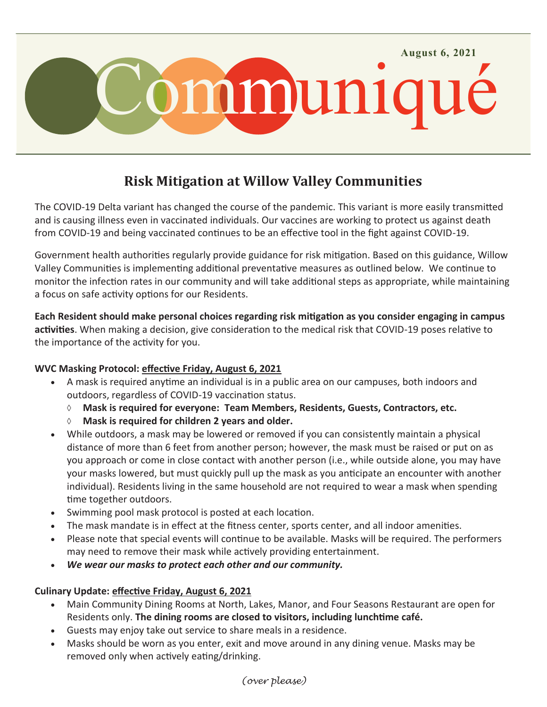

# **Risk Mitigation at Willow Valley Communities**

The COVID-19 Delta variant has changed the course of the pandemic. This variant is more easily transmitted and is causing illness even in vaccinated individuals. Our vaccines are working to protect us against death from COVID-19 and being vaccinated continues to be an effective tool in the fight against COVID-19.

Government health authorities regularly provide guidance for risk mitigation. Based on this guidance, Willow Valley Communities is implementing additional preventative measures as outlined below. We continue to monitor the infection rates in our community and will take additional steps as appropriate, while maintaining a focus on safe activity options for our Residents.

**Each Resident should make personal choices regarding risk mitigation as you consider engaging in campus activities**. When making a decision, give consideration to the medical risk that COVID-19 poses relative to the importance of the activity for you.

## **WVC Masking Protocol: effective Friday, August 6, 2021**

- A mask is required anytime an individual is in a public area on our campuses, both indoors and outdoors, regardless of COVID-19 vaccination status.
	- **Mask is required for everyone: Team Members, Residents, Guests, Contractors, etc.**
	- **Mask is required for children 2 years and older.**
- While outdoors, a mask may be lowered or removed if you can consistently maintain a physical distance of more than 6 feet from another person; however, the mask must be raised or put on as you approach or come in close contact with another person (i.e., while outside alone, you may have your masks lowered, but must quickly pull up the mask as you anticipate an encounter with another individual). Residents living in the same household are not required to wear a mask when spending time together outdoors.
- Swimming pool mask protocol is posted at each location.
- The mask mandate is in effect at the fitness center, sports center, and all indoor amenities.
- Please note that special events will continue to be available. Masks will be required. The performers may need to remove their mask while actively providing entertainment.
- *We wear our masks to protect each other and our community.*

# **Culinary Update: effective Friday, August 6, 2021**

- Main Community Dining Rooms at North, Lakes, Manor, and Four Seasons Restaurant are open for Residents only. **The dining rooms are closed to visitors, including lunchtime café.**
- Guests may enjoy take out service to share meals in a residence.
- Masks should be worn as you enter, exit and move around in any dining venue. Masks may be removed only when actively eating/drinking.